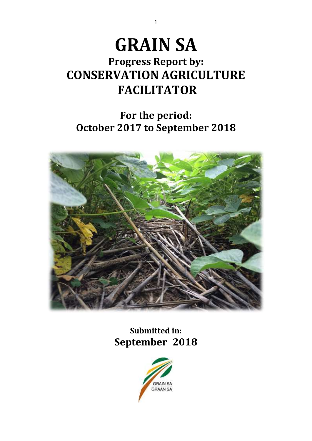# **GRAIN SA**

1

# **Progress Report by: CONSERVATION AGRICULTURE FACILITATOR**

# **For the period: October 2017 to September 2018**



**Submitted in: September 2018**

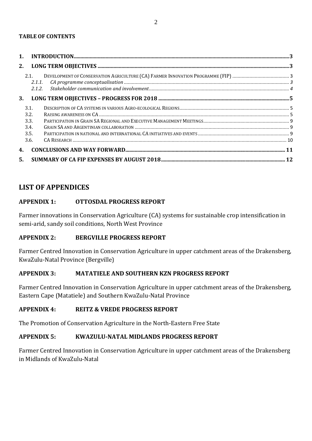| 2. |              |  |
|----|--------------|--|
|    | 2.1.         |  |
| 3. |              |  |
|    | 3.1.<br>3.2. |  |
|    | 3.3.         |  |
|    | 3.4.<br>3.5. |  |
|    | 3.6.         |  |
| 4. |              |  |
| 5. |              |  |

# **LIST OF APPENDICES**

# **APPENDIX 1: OTTOSDAL PROGRESS REPORT**

Farmer innovations in Conservation Agriculture (CA) systems for sustainable crop intensification in semi-arid, sandy soil conditions, North West Province

# **APPENDIX 2: BERGVILLE PROGRESS REPORT**

Farmer Centred Innovation in Conservation Agriculture in upper catchment areas of the Drakensberg, KwaZulu-Natal Province (Bergville)

# **APPENDIX 3: MATATIELE AND SOUTHERN KZN PROGRESS REPORT**

Farmer Centred Innovation in Conservation Agriculture in upper catchment areas of the Drakensberg, Eastern Cape (Matatiele) and Southern KwaZulu-Natal Province

#### **APPENDIX 4: REITZ & VREDE PROGRESS REPORT**

The Promotion of Conservation Agriculture in the North-Eastern Free State

# **APPENDIX 5: KWAZULU-NATAL MIDLANDS PROGRESS REPORT**

Farmer Centred Innovation in Conservation Agriculture in upper catchment areas of the Drakensberg in Midlands of KwaZulu-Natal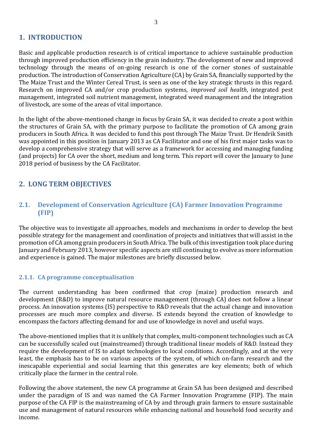# <span id="page-2-0"></span>**1. INTRODUCTION**

Basic and applicable production research is of critical importance to achieve sustainable production through improved production efficiency in the grain industry. The development of new and improved technology through the means of on-going research is one of the corner stones of sustainable production. The introduction of Conservation Agriculture (CA) by Grain SA, financially supported by the The Maize Trust and the Winter Cereal Trust, is seen as one of the key strategic thrusts in this regard. Research on improved CA and/or crop production systems, *improved soil health*, integrated pest management, integrated soil nutrient management, integrated weed management and the integration of livestock, are some of the areas of vital importance.

In the light of the above-mentioned change in focus by Grain SA, it was decided to create a post within the structures of Grain SA, with the primary purpose to facilitate the promotion of CA among grain producers in South Africa. It was decided to fund this post through The Maize Trust. Dr Hendrik Smith was appointed in this position in January 2013 as CA Facilitator and one of his first major tasks was to develop a comprehensive strategy that will serve as a framework for accessing and managing funding (and projects) for CA over the short, medium and long term. This report will cover the January to June 2018 period of business by the CA Facilitator.

# <span id="page-2-1"></span>**2. LONG TERM OBJECTIVES**

# <span id="page-2-2"></span>**2.1. Development of Conservation Agriculture (CA) Farmer Innovation Programme (FIP)**

The objective was to investigate all approaches, models and mechanisms in order to develop the best possible strategy for the management and coordination of projects and initiatives that will assist in the promotion of CA among grain producers in South Africa. The bulk of this investigation took place during January and February 2013, however specific aspects are still continuing to evolve as more information and experience is gained. The major milestones are briefly discussed below.

# <span id="page-2-3"></span>**2.1.1. CA programme conceptualisation**

The current understanding has been confirmed that crop (maize) production research and development (R&D) to improve natural resource management (through CA) does not follow a linear process. An innovation systems (IS) perspective to R&D reveals that the actual change and innovation processes are much more complex and diverse. IS extends beyond the creation of knowledge to encompass the factors affecting demand for and use of knowledge in novel and useful ways.

The above-mentioned implies that it is unlikely that complex, multi-component technologies such as CA can be successfully scaled out (mainstreamed) through traditional linear models of R&D. Instead they require the development of IS to adapt technologies to local conditions. Accordingly, and at the very least, the emphasis has to be on various aspects of the system, of which on-farm research and the inescapable experiential and social learning that this generates are key elements; both of which critically place the farmer in the central role.

Following the above statement, the new CA programme at Grain SA has been designed and described under the paradigm of IS and was named the CA Farmer Innovation Programme (FIP). The main purpose of the CA FIP is the mainstreaming of CA by and through grain farmers to ensure sustainable use and management of natural resources while enhancing national and household food security and income.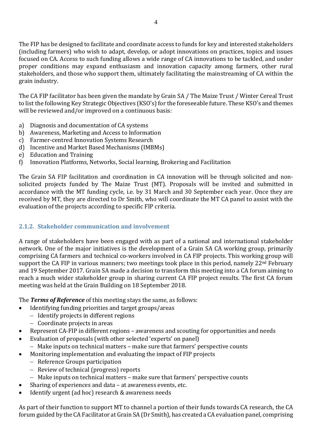The FIP has be designed to facilitate and coordinate access to funds for key and interested stakeholders (including farmers) who wish to adapt, develop, or adopt innovations on practices, topics and issues focused on CA. Access to such funding allows a wide range of CA innovations to be tackled, and under proper conditions may expand enthusiasm and innovation capacity among farmers, other rural stakeholders, and those who support them, ultimately facilitating the mainstreaming of CA within the grain industry.

The CA FIP facilitator has been given the mandate by Grain SA / The Maize Trust / Winter Cereal Trust to list the following Key Strategic Objectives (KSO's) for the foreseeable future. These KSO's and themes will be reviewed and/or improved on a continuous basis:

- a) Diagnosis and documentation of CA systems
- b) Awareness, Marketing and Access to Information
- c) Farmer-centred Innovation Systems Research
- d) Incentive and Market Based Mechanisms (IMBMs)
- e) Education and Training
- f) Innovation Platforms, Networks, Social learning, Brokering and Facilitation

The Grain SA FIP facilitation and coordination in CA innovation will be through solicited and nonsolicited projects funded by The Maize Trust (MT). Proposals will be invited and submitted in accordance with the MT funding cycle, i.e. by 31 March and 30 September each year. Once they are received by MT, they are directed to Dr Smith, who will coordinate the MT CA panel to assist with the evaluation of the projects according to specific FIP criteria.

# <span id="page-3-0"></span>**2.1.2. Stakeholder communication and involvement**

A range of stakeholders have been engaged with as part of a national and international stakeholder network. One of the major initiatives is the development of a Grain SA CA working group, primarily comprising CA farmers and technical co-workers involved in CA FIP projects. This working group will support the CA FIP in various manners; two meetings took place in this period, namely 22<sup>nd</sup> February and 19 September 2017. Grain SA made a decision to transform this meeting into a CA forum aiming to reach a much wider stakeholder group in sharing current CA FIP project results. The first CA forum meeting was held at the Grain Building on 18 September 2018.

The *Terms of Reference* of this meeting stays the same, as follows:

- Identifying funding priorities and target groups/areas
	- − Identify projects in different regions
	- − Coordinate projects in areas
- Represent CA-FIP in different regions awareness and scouting for opportunities and needs
- Evaluation of proposals (with other selected 'experts' on panel)
	- − Make inputs on technical matters make sure that farmers' perspective counts
- Monitoring implementation and evaluating the impact of FIP projects
	- − Reference Groups participation
	- − Review of technical (progress) reports
	- − Make inputs on technical matters make sure that farmers' perspective counts
- Sharing of experiences and data at awareness events, etc.
- Identify urgent (ad hoc) research & awareness needs

As part of their function to support MT to channel a portion of their funds towards CA research, the CA forum guided by the CA Facilitator at Grain SA (Dr Smith), has created a CA evaluation panel, comprising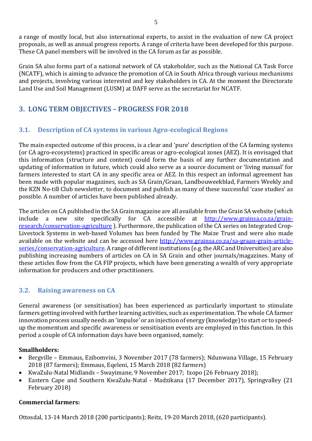a range of mostly local, but also international experts, to assist in the evaluation of new CA project proposals, as well as annual progress reports. A range of criteria have been developed for this purpose. These CA panel members will be involved in the CA forum as far as possible.

Grain SA also forms part of a national network of CA stakeholder, such as the National CA Task Force (NCATF), which is aiming to advance the promotion of CA in South Africa through various mechanisms and projects, involving various interested and key stakeholders in CA. At the moment the Directorate Land Use and Soil Management (LUSM) at DAFF serve as the secretariat for NCATF.

# <span id="page-4-0"></span>**3. LONG TERM OBJECTIVES – PROGRESS FOR 2018**

# <span id="page-4-1"></span>**3.1. Description of CA systems in various Agro-ecological Regions**

The main expected outcome of this process, is a clear and 'pure' description of the CA farming systems (or CA agro-ecosystems) practiced in specific areas or agro-ecological zones (AEZ). It is envisaged that this information (structure and content) could form the basis of any further documentation and updating of information in future, which could also serve as a source document or 'living manual' for farmers interested to start CA in any specific area or AEZ. In this respect an informal agreement has been made with popular magazines, such as SA Grain/Graan, Landbouweekblad, Farmers Weekly and the KZN No-till Club newsletter, to document and publish as many of these successful 'case studies' as possible. A number of articles have been published already.

The articles on CA published in the SA Grain magazine are all available from the Grain SA website (which include a new site specifically for CA accessible at [http://www.grainsa.co.za/grain](http://www.grainsa.co.za/grain-research/conservation-agriculture)[research/conservation-agriculture](http://www.grainsa.co.za/grain-research/conservation-agriculture) ). Furthermore, the publication of the CA series on Integrated Crop-Livestock Systems in web-based Volumes has been funded by The Maize Trust and were also made available on the website and can be accessed here [http://www.grainsa.co.za/sa-graan-grain-article](http://www.grainsa.co.za/sa-graan-grain-article-series/conservation-agriculture)[series/conservation-agriculture.](http://www.grainsa.co.za/sa-graan-grain-article-series/conservation-agriculture) A range of different institutions (e.g. the ARC and Universities) are also publishing increasing numbers of articles on CA in SA Grain and other journals/magazines. Many of these articles flow from the CA FIP projects, which have been generating a wealth of very appropriate information for producers and other practitioners.

# <span id="page-4-2"></span>**3.2. Raising awareness on CA**

General awareness (or sensitisation) has been experienced as particularly important to stimulate farmers getting involved with further learning activities, such as experimentation. The whole CA farmer innovation process usually needs an 'impulse' or an injection of energy (knowledge) to start or to speedup the momentum and specific awareness or sensitisation events are employed in this function. In this period a couple of CA information days have been organised, namely:

# **Smallholders:**

- Bergville Emmaus, Ezibomvini, 3 November 2017 (78 farmers); Ndunwana Village, 15 February 2018 (87 farmers); Emmaus, Eqeleni, 15 March 2018 (82 farmers)
- KwaZulu-Natal Midlands Swayimane, 9 November 2017; Ixopo (26 February 2018);
- Eastern Cape and Southern KwaZulu-Natal Madzikana (17 December 2017), Springvalley (21 February 2018)

# **Commercial farmers:**

Ottosdal, 13-14 March 2018 (200 participants); Reitz, 19-20 March 2018, (620 participants).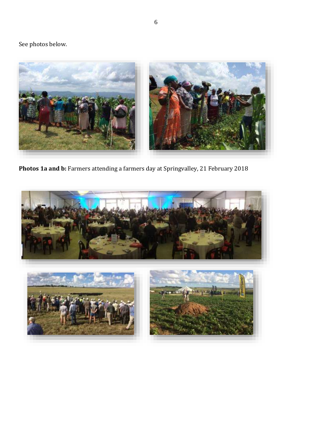# See photos below.



**Photos 1a and b:** Farmers attending a farmers day at Springvalley, 21 February 2018

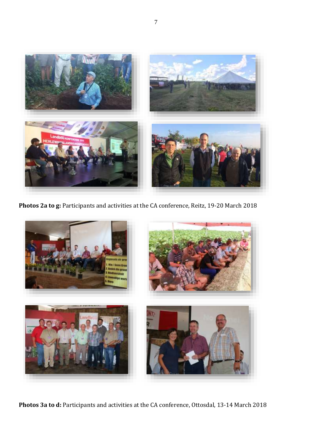

**Photos 2a to g:** Participants and activities at the CA conference, Reitz, 19-20 March 2018



**Photos 3a to d:** Participants and activities at the CA conference, Ottosdal, 13-14 March 2018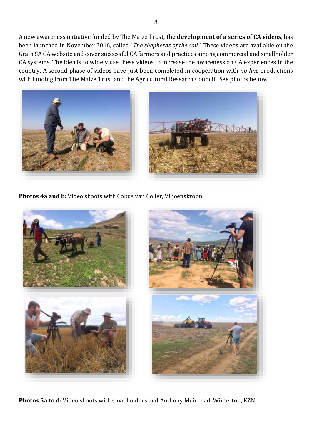A new awareness initiative funded by The Maize Trust, **the development of a series of CA videos**, has been launched in November 2016, called *"The shepherds of the soil"*. These videos are available on the Grain SA CA website and cover successful CA farmers and practices among commercial and smallholder CA systems. The idea is to widely use these videos to increase the awareness on CA experiences in the country. A second phase of videos have just been completed in cooperation with *no-line* productions with funding from The Maize Trust and the Agricultural Research Council. See photos below.



**Photos 4a and b:** Video shoots with Cobus van Coller, Viljoenskroon



**Photos 5a to d:** Video shoots with smallholders and Anthony Muirhead, Winterton, KZN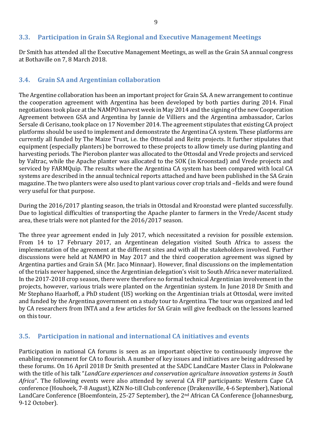# <span id="page-8-0"></span>**3.3. Participation in Grain SA Regional and Executive Management Meetings**

Dr Smith has attended all the Executive Management Meetings, as well as the Grain SA annual congress at Bothaville on 7, 8 March 2018.

# <span id="page-8-1"></span>**3.4. Grain SA and Argentinian collaboration**

The Argentine collaboration has been an important project for Grain SA. A new arrangement to continue the cooperation agreement with Argentina has been developed by both parties during 2014. Final negotiations took place at the NAMPO harvest week in May 2014 and the signing of the new Cooperation Agreement between GSA and Argentina by Jannie de Villiers and the Argentina ambassador, Carlos Sersale di Cerisano, took place on 17 November 2014. The agreement stipulates that existing CA project platforms should be used to implement and demonstrate the Argentina CA system. These platforms are currently all funded by The Maize Trust, i.e. the Ottosdal and Reitz projects. It further stipulates that equipment (especially planters) be borrowed to these projects to allow timely use during planting and harvesting periods. The Pierobon planter was allocated to the Ottosdal and Vrede projects and serviced by Valtrac, while the Apache planter was allocated to the SOK (in Kroonstad) and Vrede projects and serviced by FARMQuip. The results where the Argentina CA system has been compared with local CA systems are described in the annual technical reports attached and have been published in the SA Grain magazine. The two planters were also used to plant various cover crop trials and –fields and were found very useful for that purpose.

During the 2016/2017 planting season, the trials in Ottosdal and Kroonstad were planted successfully. Due to logistical difficulties of transporting the Apache planter to farmers in the Vrede/Ascent study area, these trials were not planted for the 2016/2017 season.

The three year agreement ended in July 2017, which necessitated a revision for possible extension. From 14 to 17 February 2017, an Argentinean delegation visited South Africa to assess the implementation of the agreement at the different sites and with all the stakeholders involved. Further discussions were held at NAMPO in May 2017 and the third cooperation agreement was signed by Argentina parties and Grain SA (Mr. Jaco Minnaar). However, final discussions on the implementation of the trials never happened, since the Argentinian delegation's visit to South Africa never materialized. In the 2017-2018 crop season, there were therefore no formal technical Argentinian involvement in the projects, however, various trials were planted on the Argentinian system. In June 2018 Dr Smith and Mr Stephano Haarhoff, a PhD student (US) working on the Argentinian trials at Ottosdal, were invited and funded by the Argentina government on a study tour to Argentina. The tour was organized and led by CA researchers from INTA and a few articles for SA Grain will give feedback on the lessons learned on this tour.

# <span id="page-8-2"></span>**3.5. Participation in national and international CA initiatives and events**

Participation in national CA forums is seen as an important objective to continuously improve the enabling environment for CA to flourish. A number of key issues and initiatives are being addressed by these forums. On 16 April 2018 Dr Smith presented at the SADC LandCare Master Class in Polokwane with the title of his talk "*LandCare experiences and conservation agriculture innovation systems in South Africa*". The following events were also attended by several CA FIP participants: Western Cape CA conference (Houhoek, 7-8 August), KZN No-till Club conference (Drakensville, 4-6 September), National LandCare Conference (Bloemfontein, 25-27 September), the 2nd African CA Conference (Johannesburg, 9-12 October).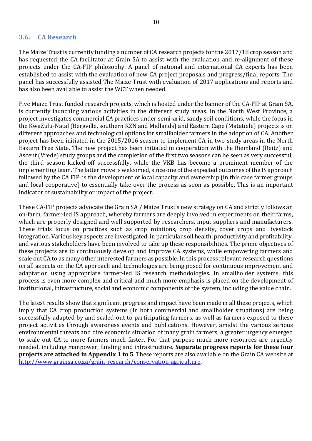#### <span id="page-9-0"></span>**3.6. CA Research**

The Maize Trust is currently funding a number of CA research projects for the 2017/18 crop season and has requested the CA facilitator at Grain SA to assist with the evaluation and re-alignment of these projects under the CA-FIP philosophy. A panel of national and international CA experts has been established to assist with the evaluation of new CA project proposals and progress/final reports. The panel has successfully assisted The Maize Trust with evaluation of 2017 applications and reports and has also been available to assist the WCT when needed.

Five Maize Trust funded research projects, which is hosted under the banner of the CA-FIP at Grain SA, is currently launching various activities in the different study areas. In the North West Province, a project investigates commercial CA practices under semi-arid, sandy soil conditions, while the focus in the KwaZulu-Natal (Bergville, southern KZN and Midlands) and Eastern Cape (Matatiele) projects is on different approaches and technological options for smallholder farmers in the adoption of CA. Another project has been initiated in the 2015/2016 season to implement CA in two study areas in the North Eastern Free State. The new project has been initiated in cooperation with the Riemland (Reitz) and Ascent (Vrede) study groups and the completion of the first two seasons can be seen as very successful; the third season kicked-off successfully, while the VKB has become a prominent member of the implementing team. The latter move is welcomed, since one of the expected outcomes of the IS approach followed by the CA FIP, is the development of local capacity and ownership (in this case farmer groups and local cooperative) to essentially take over the process as soon as possible. This is an important indicator of sustainability or impact of the project.

These CA-FIP projects advocate the Grain SA / Maize Trust's new strategy on CA and strictly follows an on-farm, farmer-led IS approach, whereby farmers are deeply involved in experiments on their farms, which are properly designed and well supported by researchers, input suppliers and manufacturers. These trials focus on practices such as crop rotations, crop density, cover crops and livestock integration. Various key aspects are investigated, in particular soil health, productivity and profitability, and various stakeholders have been involved to take up these responsibilities. The prime objectives of these projects are to continuously develop and improve CA systems, while empowering farmers and scale out CA to as many other interested farmers as possible. In this process relevant research questions on all aspects on the CA approach and technologies are being posed for continuous improvement and adaptation using appropriate farmer-led IS research methodologies. In smallholder systems, this process is even more complex and critical and much more emphasis is placed on the development of institutional, infrastructure, social and economic components of the system, including the value chain.

The latest results show that significant progress and impact have been made in all these projects, which imply that CA crop production systems (in both commercial and smallholder situations) are being successfully adapted by and scaled-out to participating farmers, as well as farmers exposed to these project activities through awareness events and publications. However, amidst the various serious environmental threats and dire economic situation of many grain farmers, a greater urgency emerged to scale out CA to more farmers much faster. For that purpose much more resources are urgently needed, including manpower, funding and infrastructure. **Separate progress reports for these four projects are attached in Appendix 1 to 5**. These reports are also available on the Grain CA website at [http://www.grainsa.co.za/grain-research/conservation-agriculture.](http://www.grainsa.co.za/grain-research/conservation-agriculture)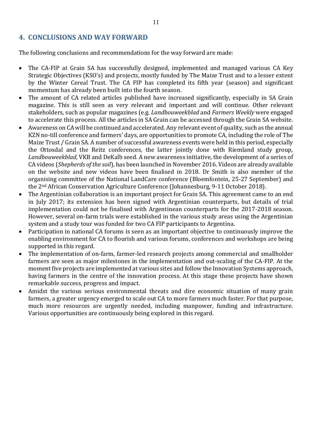# <span id="page-10-0"></span>**4. CONCLUSIONS AND WAY FORWARD**

The following conclusions and recommendations for the way forward are made:

- The CA-FIP at Grain SA has successfully designed, implemented and managed various CA Key Strategic Objectives (KSO's) and projects, mostly funded by The Maize Trust and to a lesser extent by the Winter Cereal Trust. The CA FIP has completed its fifth year (season) and significant momentum has already been built into the fourth season.
- The amount of CA related articles published have increased significantly, especially in SA Grain magazine. This is still seen as very relevant and important and will continue. Other relevant stakeholders, such as popular magazines (e.g. *Landbouweekblad* and *Farmers Weekly* were engaged to accelerate this process. All the articles in SA Grain can be accessed through the Grain SA website.
- Awareness on CA will be continued and accelerated. Any relevant event of quality, such as the annual KZN no-till conference and farmers' days, are opportunities to promote CA, including the role of The Maize Trust / Grain SA. A number of successful awareness events were held in this period, especially the Ottosdal and the Reitz conferences, the latter jointly done with Riemland study group, *Landbouweekblad*, VKB and DeKalb seed. A new awareness initiative, the development of a series of CA videos (*Shepherds of the soil*), has been launched in November 2016. Videos are already available on the website and new videos have been finalised in 2018. Dr Smith is also member of the organising committee of the National LandCare conference (Bloemfontein, 25-27 September) and the 2nd African Conservation Agriculture Conference (Johannesburg, 9-11 October 2018).
- The Argentinian collaboration is an important project for Grain SA. This agreement came to an end in July 2017; its extension has been signed with Argentinian counterparts, but details of trial implementation could not be finalised with Argentinean counterparts for the 2017-2018 season. However, several on-farm trials were established in the various study areas using the Argentinian system and a study tour was funded for two CA FIP participants to Argentina.
- Participation in national CA forums is seen as an important objective to continuously improve the enabling environment for CA to flourish and various forums, conferences and workshops are being supported in this regard.
- The implementation of on-farm, farmer-led research projects among commercial and smallholder farmers are seen as major milestones in the implementation and out-scaling of the CA-FIP. At the moment five projects are implemented at various sites and follow the Innovation Systems approach, having farmers in the centre of the innovation process. At this stage these projects have shown remarkable success, progress and impact.
- Amidst the various serious environmental threats and dire economic situation of many grain farmers, a greater urgency emerged to scale out CA to more farmers much faster. For that purpose, much more resources are urgently needed, including manpower, funding and infrastructure. Various opportunities are continuously being explored in this regard.